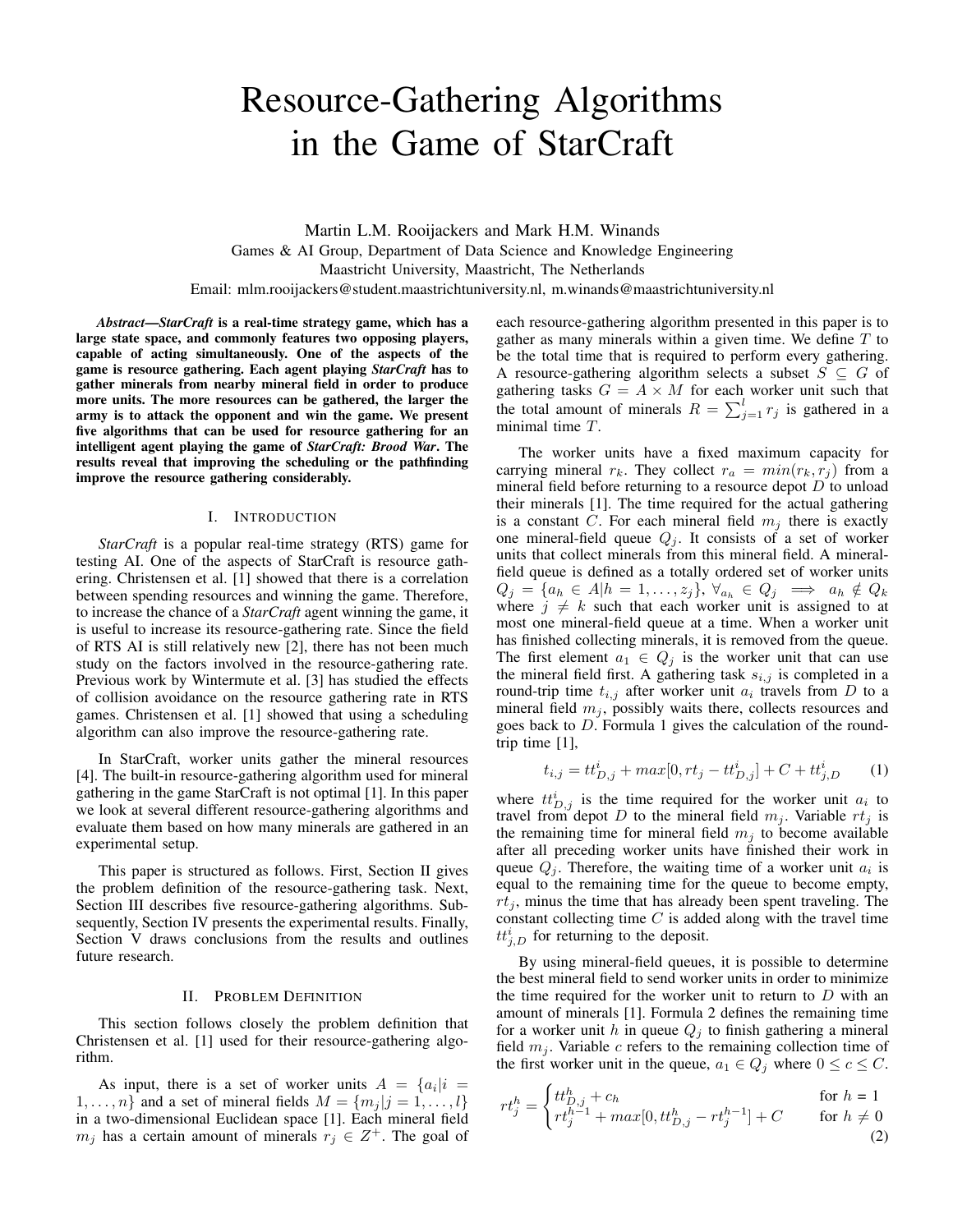# Resource-Gathering Algorithms in the Game of StarCraft

Martin L.M. Rooijackers and Mark H.M. Winands Games & AI Group, Department of Data Science and Knowledge Engineering Maastricht University, Maastricht, The Netherlands Email: mlm.rooijackers@student.maastrichtuniversity.nl, m.winands@maastrichtuniversity.nl

*Abstract*—*StarCraft* is a real-time strategy game, which has a large state space, and commonly features two opposing players, capable of acting simultaneously. One of the aspects of the game is resource gathering. Each agent playing *StarCraft* has to gather minerals from nearby mineral field in order to produce more units. The more resources can be gathered, the larger the army is to attack the opponent and win the game. We present five algorithms that can be used for resource gathering for an intelligent agent playing the game of *StarCraft: Brood War*. The results reveal that improving the scheduling or the pathfinding improve the resource gathering considerably.

#### I. INTRODUCTION

*StarCraft* is a popular real-time strategy (RTS) game for testing AI. One of the aspects of StarCraft is resource gathering. Christensen et al. [1] showed that there is a correlation between spending resources and winning the game. Therefore, to increase the chance of a *StarCraft* agent winning the game, it is useful to increase its resource-gathering rate. Since the field of RTS AI is still relatively new [2], there has not been much study on the factors involved in the resource-gathering rate. Previous work by Wintermute et al. [3] has studied the effects of collision avoidance on the resource gathering rate in RTS games. Christensen et al. [1] showed that using a scheduling algorithm can also improve the resource-gathering rate.

In StarCraft, worker units gather the mineral resources [4]. The built-in resource-gathering algorithm used for mineral gathering in the game StarCraft is not optimal [1]. In this paper we look at several different resource-gathering algorithms and evaluate them based on how many minerals are gathered in an experimental setup.

This paper is structured as follows. First, Section II gives the problem definition of the resource-gathering task. Next, Section III describes five resource-gathering algorithms. Subsequently, Section IV presents the experimental results. Finally, Section V draws conclusions from the results and outlines future research.

#### II. PROBLEM DEFINITION

This section follows closely the problem definition that Christensen et al. [1] used for their resource-gathering algorithm.

As input, there is a set of worker units  $A = \{a_i | i = \}$  $1, \ldots, n$  and a set of mineral fields  $M = \{m_j | j = 1, \ldots, l\}$ in a two-dimensional Euclidean space [1]. Each mineral field  $m_j$  has a certain amount of minerals  $r_j \in Z^+$ . The goal of each resource-gathering algorithm presented in this paper is to gather as many minerals within a given time. We define  $T$  to be the total time that is required to perform every gathering. A resource-gathering algorithm selects a subset  $S \subseteq G$  of gathering tasks  $G = A \times M$  for each worker unit such that the total amount of minerals  $R = \sum_{j=1}^{l} r_j$  is gathered in a minimal time T.

The worker units have a fixed maximum capacity for carrying mineral  $r_k$ . They collect  $r_a = min(r_k, r_j)$  from a mineral field before returning to a resource depot  $D$  to unload their minerals [1]. The time required for the actual gathering is a constant C. For each mineral field  $m_j$  there is exactly one mineral-field queue  $Q_j$ . It consists of a set of worker units that collect minerals from this mineral field. A mineralfield queue is defined as a totally ordered set of worker units  $Q_j = \{a_h \in A | h = 1, \ldots, z_j\}, \forall_{a_h} \in Q_j \implies a_h \notin Q_k$ where  $j \neq k$  such that each worker unit is assigned to at most one mineral-field queue at a time. When a worker unit has finished collecting minerals, it is removed from the queue. The first element  $a_1 \in Q_j$  is the worker unit that can use the mineral field first. A gathering task  $s_{i,j}$  is completed in a round-trip time  $t_{i,j}$  after worker unit  $a_i$  travels from D to a mineral field  $m<sub>i</sub>$ , possibly waits there, collects resources and goes back to D. Formula 1 gives the calculation of the roundtrip time [1],

$$
t_{i,j} = tt_{D,j}^i + max[0, rt_j - tt_{D,j}^i] + C + tt_{j,D}^i \tag{1}
$$

where  $tt_{D,j}^i$  is the time required for the worker unit  $a_i$  to travel from depot D to the mineral field  $m_j$ . Variable  $rt_j$  is the remaining time for mineral field  $m_i$  to become available after all preceding worker units have finished their work in queue  $Q_j$ . Therefore, the waiting time of a worker unit  $a_i$  is equal to the remaining time for the queue to become empty,  $rt_i$ , minus the time that has already been spent traveling. The constant collecting time  $C$  is added along with the travel time  $tt_{j,D}^{i}$  for returning to the deposit.

By using mineral-field queues, it is possible to determine the best mineral field to send worker units in order to minimize the time required for the worker unit to return to  $D$  with an amount of minerals [1]. Formula 2 defines the remaining time for a worker unit h in queue  $Q_j$  to finish gathering a mineral field  $m_j$ . Variable c refers to the remaining collection time of the first worker unit in the queue,  $a_1 \in Q_j$  where  $0 \le c \le C$ .

$$
rt_j^h = \begin{cases} tt_{D,j}^h + c_h & \text{for } h = 1\\ rt_j^{h-1} + max[0, tt_{D,j}^h - rt_j^{h-1}] + C & \text{for } h \neq 0\\ (2) \end{cases}
$$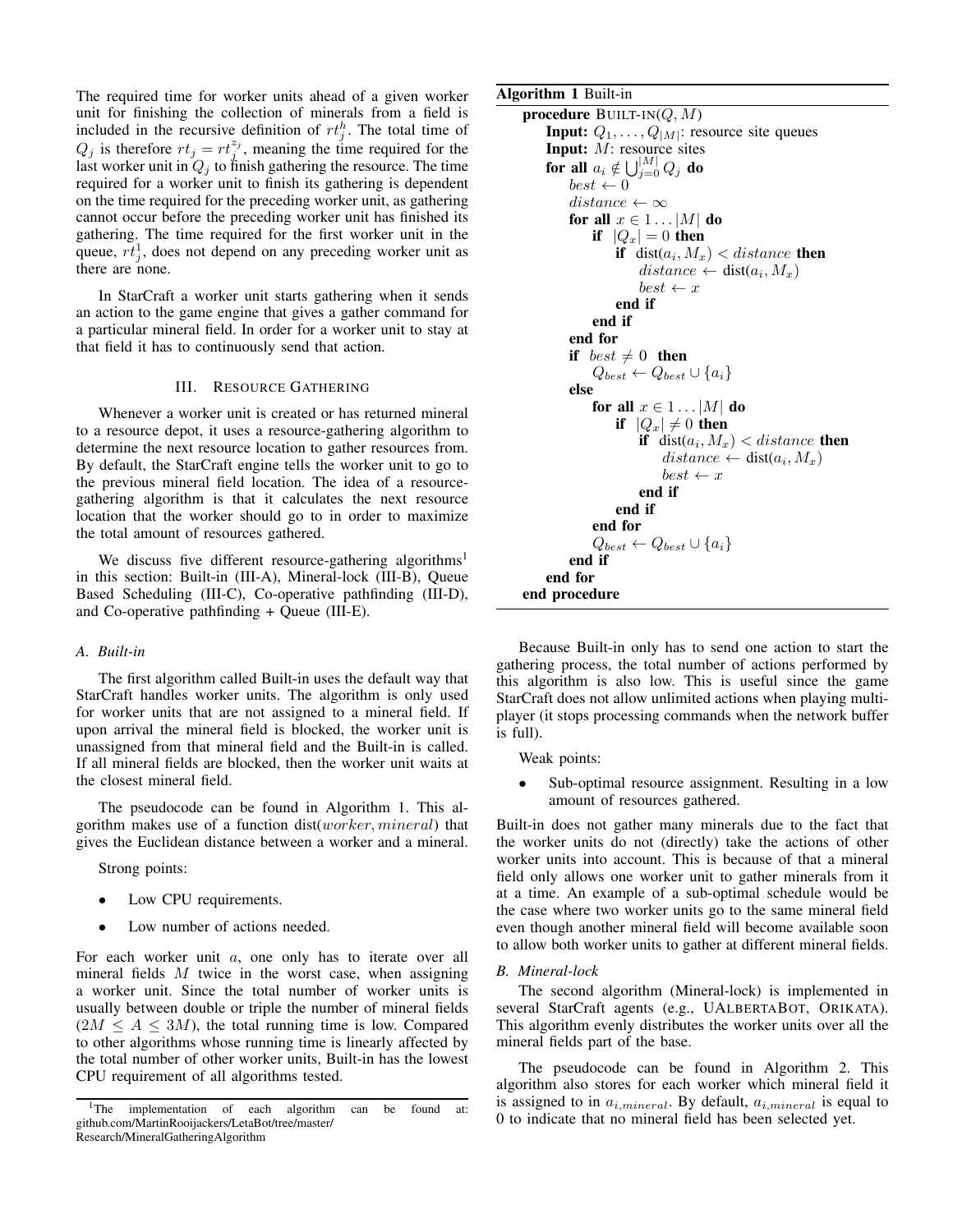The required time for worker units ahead of a given worker unit for finishing the collection of minerals from a field is included in the recursive definition of  $rt_j^h$ . The total time of  $Q_j$  is therefore  $rt_j = rt_j^{z_j}$ , meaning the time required for the last worker unit in  $Q_i$  to finish gathering the resource. The time required for a worker unit to finish its gathering is dependent on the time required for the preceding worker unit, as gathering cannot occur before the preceding worker unit has finished its gathering. The time required for the first worker unit in the queue,  $rt_j^1$ , does not depend on any preceding worker unit as there are none.

In StarCraft a worker unit starts gathering when it sends an action to the game engine that gives a gather command for a particular mineral field. In order for a worker unit to stay at that field it has to continuously send that action.

### III. RESOURCE GATHERING

Whenever a worker unit is created or has returned mineral to a resource depot, it uses a resource-gathering algorithm to determine the next resource location to gather resources from. By default, the StarCraft engine tells the worker unit to go to the previous mineral field location. The idea of a resourcegathering algorithm is that it calculates the next resource location that the worker should go to in order to maximize the total amount of resources gathered.

We discuss five different resource-gathering algorithms<sup>1</sup> in this section: Built-in (III-A), Mineral-lock (III-B), Queue Based Scheduling (III-C), Co-operative pathfinding (III-D), and Co-operative pathfinding + Queue (III-E).

## *A. Built-in*

The first algorithm called Built-in uses the default way that StarCraft handles worker units. The algorithm is only used for worker units that are not assigned to a mineral field. If upon arrival the mineral field is blocked, the worker unit is unassigned from that mineral field and the Built-in is called. If all mineral fields are blocked, then the worker unit waits at the closest mineral field.

The pseudocode can be found in Algorithm 1. This algorithm makes use of a function  $dist(worker, mineral)$  that gives the Euclidean distance between a worker and a mineral.

Strong points:

- Low CPU requirements.
- Low number of actions needed.

For each worker unit  $a$ , one only has to iterate over all mineral fields  $M$  twice in the worst case, when assigning a worker unit. Since the total number of worker units is usually between double or triple the number of mineral fields  $(2M \leq A \leq 3M)$ , the total running time is low. Compared to other algorithms whose running time is linearly affected by the total number of other worker units, Built-in has the lowest CPU requirement of all algorithms tested.

## Algorithm 1 Built-in

```
procedure BUILT-IN(Q, M)
     Input: Q_1, \ldots, Q_{|M|}: resource site queues
    Input: M: resource sites
     for all a_i \notin \bigcup_{j=0}^{|M|} Q_j do
         best \leftarrow 0distance \leftarrow \inftyfor all x \in 1 \dots |M| do
             if |Q_x| = 0 then
                   if dist(a_i, M_x) < distance then
                       distance \leftarrow \text{dist}(a_i, M_x)best \leftarrow xend if
             end if
         end for
         if best \neq 0 then
             Q_{best} \leftarrow Q_{best} \cup \{a_i\}else
             for all x \in 1 \dots |M| do
                  if |Q_x| \neq 0 then
                       if dist(a_i, M_x) < distance then
                            distance \leftarrow \text{dist}(a_i, M_x)best \leftarrow xend if
                  end if
             end for
              Q_{best} \leftarrow Q_{best} \cup \{a_i\}end if
    end for
end procedure
```
Because Built-in only has to send one action to start the gathering process, the total number of actions performed by this algorithm is also low. This is useful since the game StarCraft does not allow unlimited actions when playing multiplayer (it stops processing commands when the network buffer is full).

Weak points:

Sub-optimal resource assignment. Resulting in a low amount of resources gathered.

Built-in does not gather many minerals due to the fact that the worker units do not (directly) take the actions of other worker units into account. This is because of that a mineral field only allows one worker unit to gather minerals from it at a time. An example of a sub-optimal schedule would be the case where two worker units go to the same mineral field even though another mineral field will become available soon to allow both worker units to gather at different mineral fields.

# *B. Mineral-lock*

The second algorithm (Mineral-lock) is implemented in several StarCraft agents (e.g., UALBERTABOT, ORIKATA). This algorithm evenly distributes the worker units over all the mineral fields part of the base.

The pseudocode can be found in Algorithm 2. This algorithm also stores for each worker which mineral field it is assigned to in  $a_{i, mineral}$ . By default,  $a_{i, mineral}$  is equal to 0 to indicate that no mineral field has been selected yet.

<sup>&</sup>lt;sup>1</sup>The implementation of each algorithm can be found at: github.com/MartinRooijackers/LetaBot/tree/master/ Research/MineralGatheringAlgorithm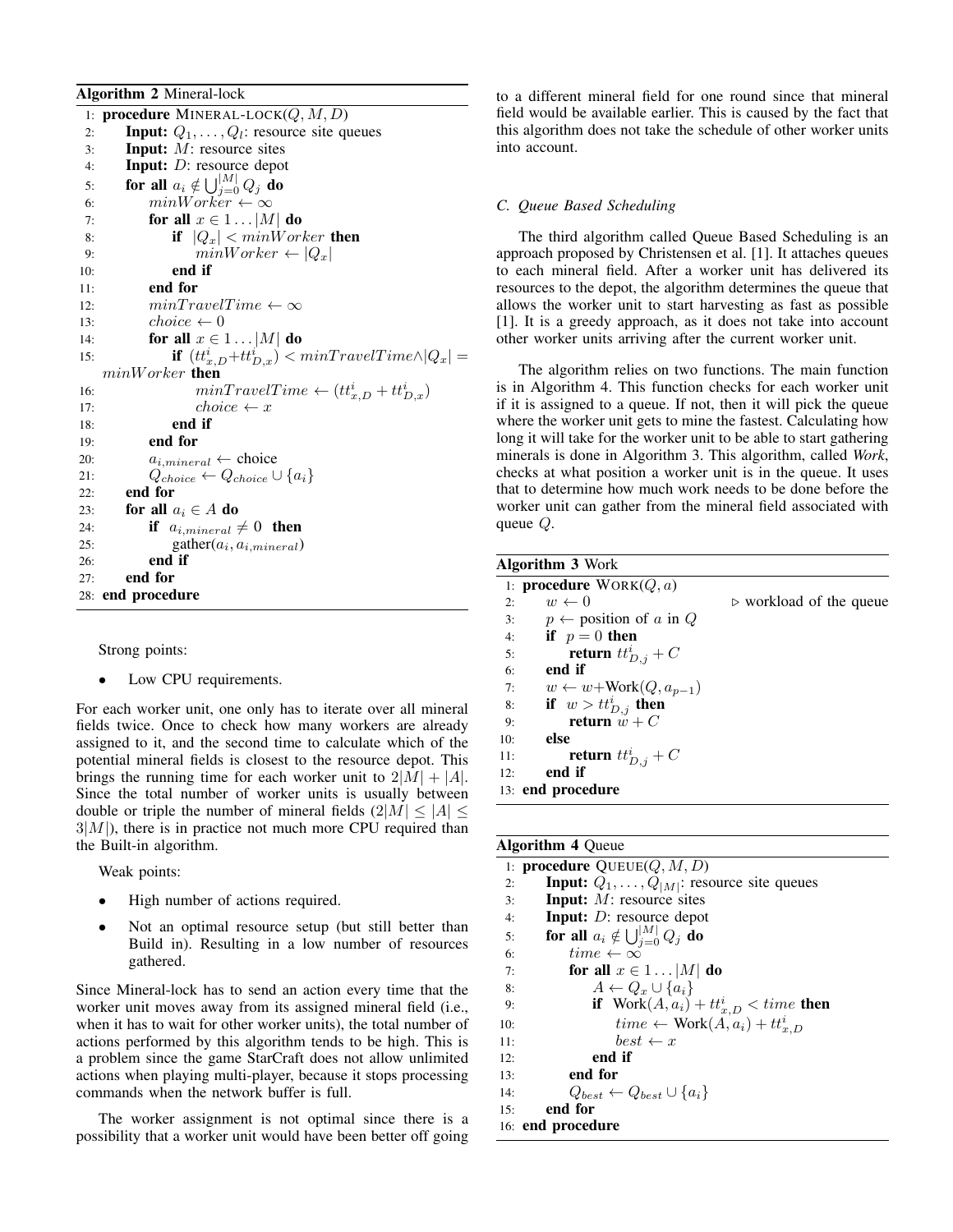Algorithm 2 Mineral-lock

|     | 1: <b>procedure</b> MINERAL-LOCK $(Q, M, D)$                     |
|-----|------------------------------------------------------------------|
| 2:  | <b>Input:</b> $Q_1, \ldots, Q_l$ : resource site queues          |
| 3:  | <b>Input:</b> $M$ : resource sites                               |
| 4:  | <b>Input:</b> $D$ : resource depot                               |
| 5:  | for all $a_i \notin \bigcup_{i=0}^{ M } Q_i$ do                  |
| 6:  | $minWorker \leftarrow \infty$                                    |
| 7:  | for all $x \in 1 \dots  M $ do                                   |
| 8:  | if $ Q_x $ < minWorker then                                      |
| 9:  | $minWorker \leftarrow  Q_x $                                     |
| 10: | end if                                                           |
| 11: | end for                                                          |
| 12: | $minTravelTime \leftarrow \infty$                                |
| 13: | $choice \leftarrow 0$                                            |
| 14: | for all $x \in 1 \dots  M $ do                                   |
| 15: | <b>if</b> $(tt_{x,D}^i+tt_{D,x}^i) < minTraceITime \wedge  Q_x $ |
|     | $minWorker$ then                                                 |
| 16: | $minTravelTime \leftarrow (tt_{x,D}^i + tt_{D,x}^i)$             |
| 17: | $choice \leftarrow \leftarrow$                                   |
| 18: | end if                                                           |
| 19: | end for                                                          |
| 20: | $a_{i, mineral} \leftarrow choice$                               |
| 21: | $Q_{choice} \leftarrow Q_{choice} \cup \{a_i\}$                  |
| 22: | end for                                                          |
| 23: | for all $a_i \in A$ do                                           |
| 24: | if<br>$a_{i, mineral} \neq 0$ then                               |
| 25: | $gather(a_i, a_{i, mineral})$                                    |
| 26: | end if                                                           |
| 27: | end for                                                          |
|     | 28: end procedure                                                |

Strong points:

Low CPU requirements.

For each worker unit, one only has to iterate over all mineral fields twice. Once to check how many workers are already assigned to it, and the second time to calculate which of the potential mineral fields is closest to the resource depot. This brings the running time for each worker unit to  $2|M| + |A|$ . Since the total number of worker units is usually between double or triple the number of mineral fields  $(2|M| \leq |A| \leq$  $3|M|$ ), there is in practice not much more CPU required than the Built-in algorithm.

Weak points:

- High number of actions required.
- Not an optimal resource setup (but still better than Build in). Resulting in a low number of resources gathered.

Since Mineral-lock has to send an action every time that the worker unit moves away from its assigned mineral field (i.e., when it has to wait for other worker units), the total number of actions performed by this algorithm tends to be high. This is a problem since the game StarCraft does not allow unlimited actions when playing multi-player, because it stops processing commands when the network buffer is full.

The worker assignment is not optimal since there is a possibility that a worker unit would have been better off going to a different mineral field for one round since that mineral field would be available earlier. This is caused by the fact that this algorithm does not take the schedule of other worker units into account.

## *C. Queue Based Scheduling*

The third algorithm called Queue Based Scheduling is an approach proposed by Christensen et al. [1]. It attaches queues to each mineral field. After a worker unit has delivered its resources to the depot, the algorithm determines the queue that allows the worker unit to start harvesting as fast as possible [1]. It is a greedy approach, as it does not take into account other worker units arriving after the current worker unit.

The algorithm relies on two functions. The main function is in Algorithm 4. This function checks for each worker unit if it is assigned to a queue. If not, then it will pick the queue where the worker unit gets to mine the fastest. Calculating how long it will take for the worker unit to be able to start gathering minerals is done in Algorithm 3. This algorithm, called *Work*, checks at what position a worker unit is in the queue. It uses that to determine how much work needs to be done before the worker unit can gather from the mineral field associated with queue Q.

## Algorithm 3 Work

|     | 1: <b>procedure</b> $WORK(Q, a)$           |                                        |
|-----|--------------------------------------------|----------------------------------------|
| 2:  | $w \leftarrow 0$                           | $\triangleright$ workload of the queue |
| 3:  | $p \leftarrow$ position of a in Q          |                                        |
| 4:  | if $p=0$ then                              |                                        |
| 5:  | <b>return</b> $tt_{D,i}^i + C$             |                                        |
| 6:  | end if                                     |                                        |
| 7:  | $w \leftarrow w + \text{Work}(Q, a_{p-1})$ |                                        |
| 8:  | if $w > tt_{D,j}^i$ then                   |                                        |
| 9:  | return $\tilde{w} + C$                     |                                        |
| 10: | else                                       |                                        |
| 11: | <b>return</b> $tt_{D,i}^i + C$             |                                        |
| 12: | end if                                     |                                        |
|     | 13: end procedure                          |                                        |
|     |                                            |                                        |

| <b>Algorithm 4 Queue</b> |                                                             |  |  |  |  |  |
|--------------------------|-------------------------------------------------------------|--|--|--|--|--|
|                          | 1: <b>procedure</b> $QUEUE(Q, M, D)$                        |  |  |  |  |  |
| 2:                       | <b>Input:</b> $Q_1, \ldots, Q_{ M }$ : resource site queues |  |  |  |  |  |
| 3:                       | <b>Input:</b> $M$ : resource sites                          |  |  |  |  |  |
| 4:                       | <b>Input:</b> $D$ : resource depot                          |  |  |  |  |  |
| 5:                       | for all $a_i \notin \bigcup_{j=0}^{ M } Q_j$ do             |  |  |  |  |  |
| 6:                       | $time \leftarrow \infty$                                    |  |  |  |  |  |
| 7:                       | for all $x \in 1 M $ do                                     |  |  |  |  |  |
| 8:                       | $A \leftarrow Q_x \cup \{a_i\}$                             |  |  |  |  |  |
| 9:                       | if $Work(A, a_i) + tt_{x,D}^i < time$ then                  |  |  |  |  |  |
| 10:                      | $time \leftarrow \text{Work}(A, a_i) + tt_{x,D}^i$          |  |  |  |  |  |
| 11:                      | $best \leftarrow x$                                         |  |  |  |  |  |
| 12:                      | end if                                                      |  |  |  |  |  |
| 13:                      | end for                                                     |  |  |  |  |  |
| 14:                      | $Q_{best} \leftarrow Q_{best} \cup \{a_i\}$                 |  |  |  |  |  |
| 15:                      | end for                                                     |  |  |  |  |  |
|                          | 16: end procedure                                           |  |  |  |  |  |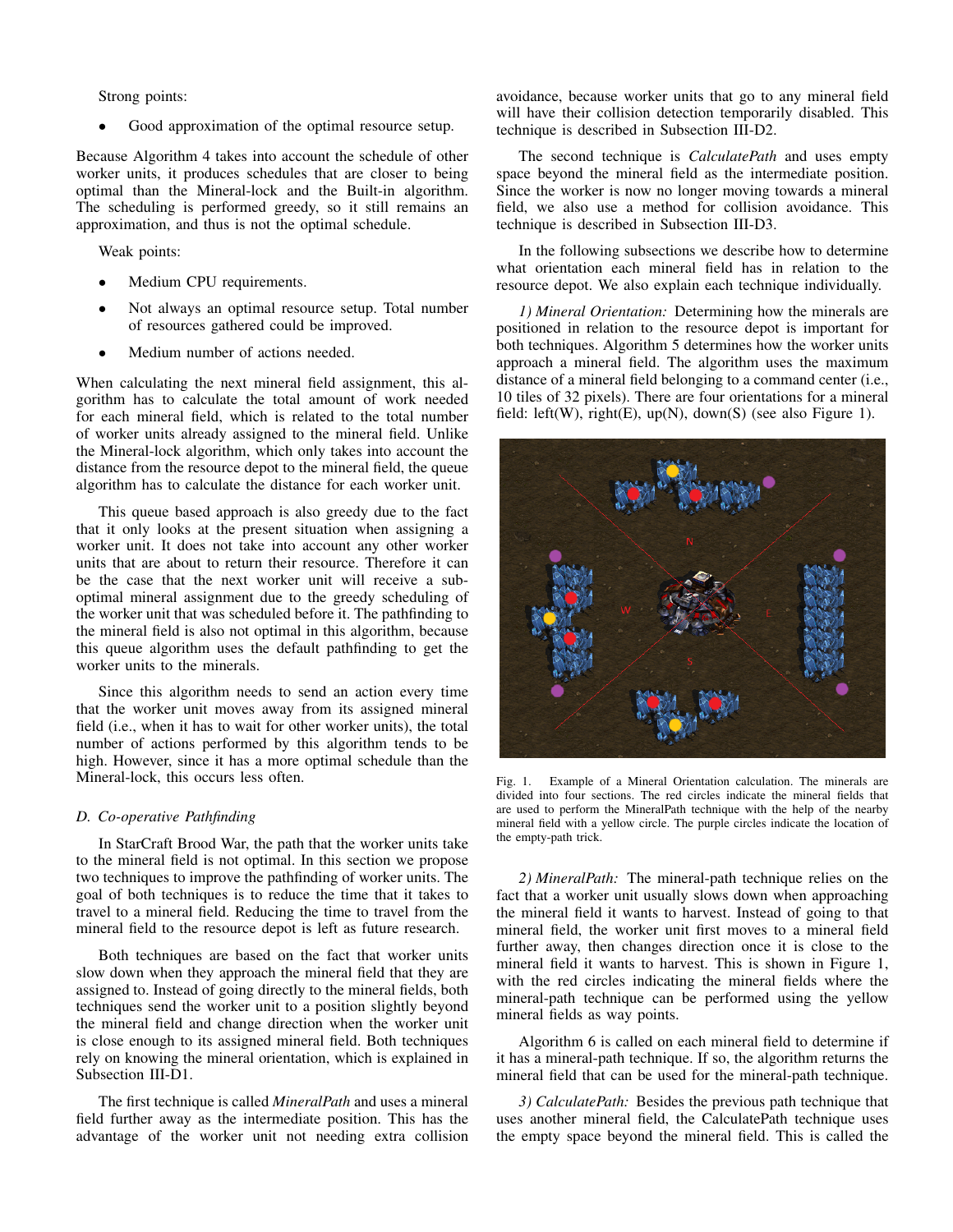Strong points:

Good approximation of the optimal resource setup.

Because Algorithm 4 takes into account the schedule of other worker units, it produces schedules that are closer to being optimal than the Mineral-lock and the Built-in algorithm. The scheduling is performed greedy, so it still remains an approximation, and thus is not the optimal schedule.

Weak points:

- Medium CPU requirements.
- Not always an optimal resource setup. Total number of resources gathered could be improved.
- Medium number of actions needed.

When calculating the next mineral field assignment, this algorithm has to calculate the total amount of work needed for each mineral field, which is related to the total number of worker units already assigned to the mineral field. Unlike the Mineral-lock algorithm, which only takes into account the distance from the resource depot to the mineral field, the queue algorithm has to calculate the distance for each worker unit.

This queue based approach is also greedy due to the fact that it only looks at the present situation when assigning a worker unit. It does not take into account any other worker units that are about to return their resource. Therefore it can be the case that the next worker unit will receive a suboptimal mineral assignment due to the greedy scheduling of the worker unit that was scheduled before it. The pathfinding to the mineral field is also not optimal in this algorithm, because this queue algorithm uses the default pathfinding to get the worker units to the minerals.

Since this algorithm needs to send an action every time that the worker unit moves away from its assigned mineral field (i.e., when it has to wait for other worker units), the total number of actions performed by this algorithm tends to be high. However, since it has a more optimal schedule than the Mineral-lock, this occurs less often.

## *D. Co-operative Pathfinding*

In StarCraft Brood War, the path that the worker units take to the mineral field is not optimal. In this section we propose two techniques to improve the pathfinding of worker units. The goal of both techniques is to reduce the time that it takes to travel to a mineral field. Reducing the time to travel from the mineral field to the resource depot is left as future research.

Both techniques are based on the fact that worker units slow down when they approach the mineral field that they are assigned to. Instead of going directly to the mineral fields, both techniques send the worker unit to a position slightly beyond the mineral field and change direction when the worker unit is close enough to its assigned mineral field. Both techniques rely on knowing the mineral orientation, which is explained in Subsection III-D1.

The first technique is called *MineralPath* and uses a mineral field further away as the intermediate position. This has the advantage of the worker unit not needing extra collision avoidance, because worker units that go to any mineral field will have their collision detection temporarily disabled. This technique is described in Subsection III-D2.

The second technique is *CalculatePath* and uses empty space beyond the mineral field as the intermediate position. Since the worker is now no longer moving towards a mineral field, we also use a method for collision avoidance. This technique is described in Subsection III-D3.

In the following subsections we describe how to determine what orientation each mineral field has in relation to the resource depot. We also explain each technique individually.

*1) Mineral Orientation:* Determining how the minerals are positioned in relation to the resource depot is important for both techniques. Algorithm 5 determines how the worker units approach a mineral field. The algorithm uses the maximum distance of a mineral field belonging to a command center (i.e., 10 tiles of 32 pixels). There are four orientations for a mineral field: left(W), right(E),  $up(N)$ , down(S) (see also Figure 1).



Fig. 1. Example of a Mineral Orientation calculation. The minerals are divided into four sections. The red circles indicate the mineral fields that are used to perform the MineralPath technique with the help of the nearby mineral field with a yellow circle. The purple circles indicate the location of the empty-path trick.

*2) MineralPath:* The mineral-path technique relies on the fact that a worker unit usually slows down when approaching the mineral field it wants to harvest. Instead of going to that mineral field, the worker unit first moves to a mineral field further away, then changes direction once it is close to the mineral field it wants to harvest. This is shown in Figure 1, with the red circles indicating the mineral fields where the mineral-path technique can be performed using the yellow mineral fields as way points.

Algorithm 6 is called on each mineral field to determine if it has a mineral-path technique. If so, the algorithm returns the mineral field that can be used for the mineral-path technique.

*3) CalculatePath:* Besides the previous path technique that uses another mineral field, the CalculatePath technique uses the empty space beyond the mineral field. This is called the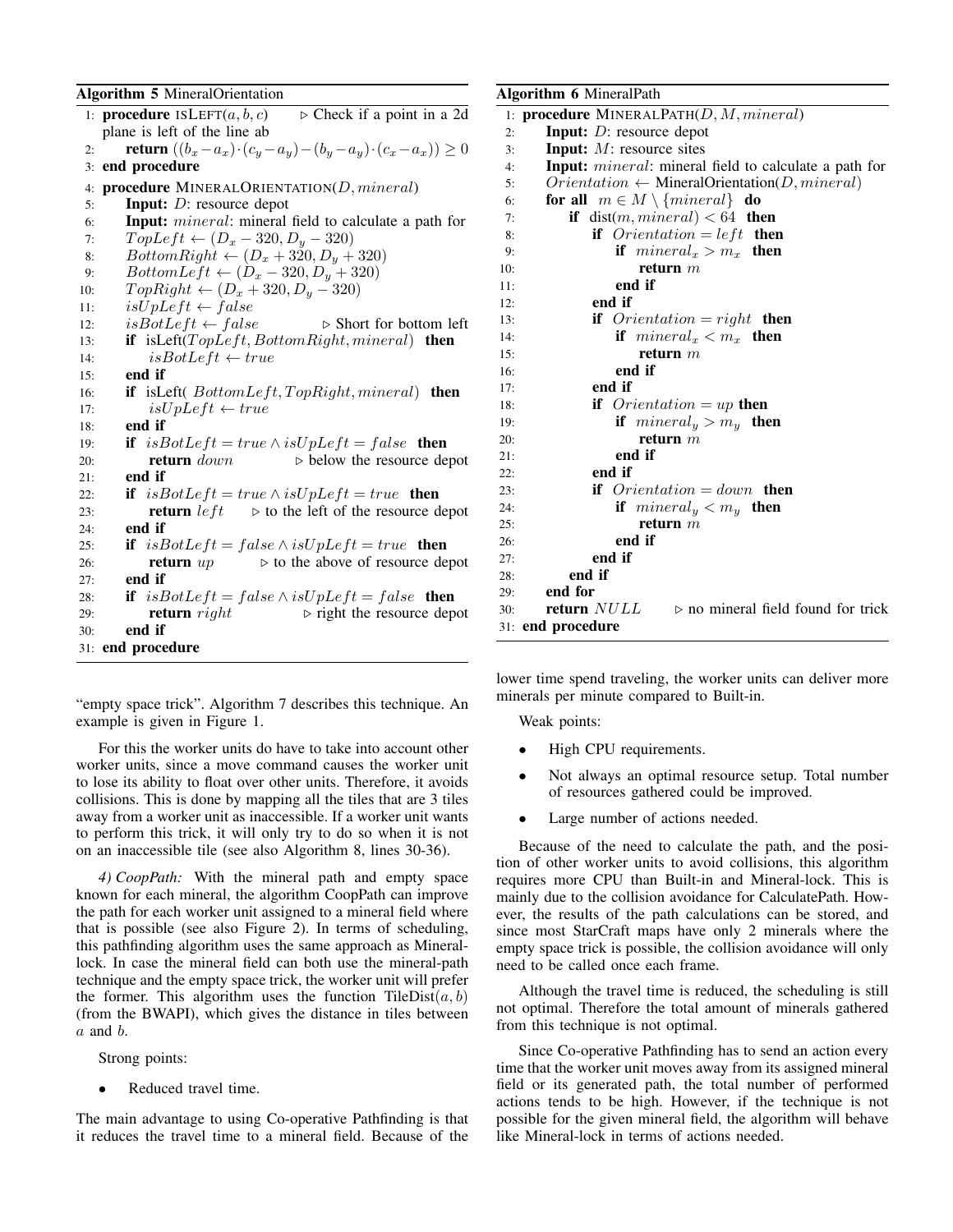Algorithm 5 MineralOrientation

|            | 1: <b>procedure</b> $ISLEFT(a, b, c)$<br>$\triangleright$ Check if a point in a 2d                                   |
|------------|----------------------------------------------------------------------------------------------------------------------|
|            | plane is left of the line ab                                                                                         |
| 2:         | <b>return</b> $((b_x - a_x) \cdot (c_y - a_y) - (b_y - a_y) \cdot (c_x - a_x)) \ge 0$                                |
| 3:         | end procedure                                                                                                        |
| 4:         | <b>procedure</b> MINERALORIENTATION( $D, mineral$ )                                                                  |
| 5:         | <b>Input:</b> $D$ : resource depot                                                                                   |
| 6:         | <b>Input:</b> <i>mineral</i> : mineral field to calculate a path for                                                 |
| 7:         | $TopLeft \leftarrow (D_x - 320, D_y - 320)$                                                                          |
| 8:         | $BottomRight \leftarrow (D_x + 320, D_y + 320)$                                                                      |
| 9:         | $BottomLeft \leftarrow (D_x - 320, D_y + 320)$                                                                       |
| 10:        | $TopRight \leftarrow (D_x + 320, D_y - 320)$                                                                         |
| 11:        | $isUpLeft \leftarrow false$                                                                                          |
| 12:        | $isBottLeft \leftarrow false$<br>$\triangleright$ Short for bottom left                                              |
| 13:        | if isLeft( $TopLeft, BottomRight, mineral$ ) then                                                                    |
| 14:        | $isBotLeft \leftarrow true$                                                                                          |
| 15:        | end if                                                                                                               |
| 16:        | if is<br>Left( $BottomLeft, TopRight, mineral$ ) then                                                                |
| 17:        | $isUpLeft \leftarrow true$                                                                                           |
| 18:        | end if                                                                                                               |
| 19:        | if $isBotLeft = true \wedge isUpdate = false$ then                                                                   |
| 20:        | $\triangleright$ below the resource depot<br>return $down$                                                           |
| 21:        | end if                                                                                                               |
| 22:        | if $isBotLeft = true \wedge isUpLeft = true$ then                                                                    |
| 23:        | <b>return</b> $left \t\rightarrow \t\infty$ to the left of the resource depot<br>end if                              |
| 24:        |                                                                                                                      |
| 25:<br>26: | if $isBotLeft = false \wedge isUpdate = true$ then<br>$\triangleright$ to the above of resource depot<br>return $up$ |
| 27:        | end if                                                                                                               |
| 28:        | if $isBotLeft = false \land isUpdate = false$ then                                                                   |
| 29:        | $\triangleright$ right the resource depot<br>return $right$                                                          |
| 30:        | end if                                                                                                               |
| 31:        |                                                                                                                      |
|            | end procedure                                                                                                        |

"empty space trick". Algorithm 7 describes this technique. An example is given in Figure 1.

For this the worker units do have to take into account other worker units, since a move command causes the worker unit to lose its ability to float over other units. Therefore, it avoids collisions. This is done by mapping all the tiles that are 3 tiles away from a worker unit as inaccessible. If a worker unit wants to perform this trick, it will only try to do so when it is not on an inaccessible tile (see also Algorithm 8, lines 30-36).

*4) CoopPath:* With the mineral path and empty space known for each mineral, the algorithm CoopPath can improve the path for each worker unit assigned to a mineral field where that is possible (see also Figure 2). In terms of scheduling, this pathfinding algorithm uses the same approach as Minerallock. In case the mineral field can both use the mineral-path technique and the empty space trick, the worker unit will prefer the former. This algorithm uses the function  $\text{TileDist}(a, b)$ (from the BWAPI), which gives the distance in tiles between  $a$  and  $b$ .

Strong points:

Reduced travel time.

The main advantage to using Co-operative Pathfinding is that it reduces the travel time to a mineral field. Because of the

## Algorithm 6 MineralPath

|     | 1: procedure $MINERALPATH(D, M, mineral)$                        |
|-----|------------------------------------------------------------------|
| 2:  | <b>Input:</b> $D$ : resource depot                               |
| 3:  | <b>Input:</b> $M$ : resource sites                               |
| 4:  | Input: <i>mineral</i> : mineral field to calculate a path for    |
| 5:  | $Orientation \leftarrow \text{MineralOrientation}(D, mineral)$   |
| 6:  | for all $m \in M \setminus \{mineral\}$ do                       |
| 7:  | if dist $(m, mineral) < 64$ then                                 |
| 8:  | if $Orientation = left$ then                                     |
| 9:  | if $mineral_x > m_x$ then                                        |
| 10: | return $m$                                                       |
| 11: | end if                                                           |
| 12: | end if                                                           |
| 13: | if $Orientation = right$ then                                    |
| 14: | if $mineral_x < m_x$ then                                        |
| 15: | return $m$                                                       |
| 16: | end if                                                           |
| 17: | end if                                                           |
| 18: | <b>if</b> $Orientation = up$ then                                |
| 19: | if $mineral_y > m_y$ then                                        |
| 20: | return $m$                                                       |
| 21: | end if                                                           |
| 22: | end if                                                           |
| 23: | <b>if</b> $Orientation = down$ <b>then</b>                       |
| 24: | if $mineral_y < m_y$ then                                        |
| 25: | return $m$                                                       |
| 26: | end if                                                           |
| 27: | end if                                                           |
| 28: | end if                                                           |
| 29: | end for                                                          |
| 30: | return NULL<br>$\triangleright$ no mineral field found for trick |
|     | 31: end procedure                                                |

lower time spend traveling, the worker units can deliver more minerals per minute compared to Built-in.

Weak points:

- High CPU requirements.
- Not always an optimal resource setup. Total number of resources gathered could be improved.
- Large number of actions needed.

Because of the need to calculate the path, and the position of other worker units to avoid collisions, this algorithm requires more CPU than Built-in and Mineral-lock. This is mainly due to the collision avoidance for CalculatePath. However, the results of the path calculations can be stored, and since most StarCraft maps have only 2 minerals where the empty space trick is possible, the collision avoidance will only need to be called once each frame.

Although the travel time is reduced, the scheduling is still not optimal. Therefore the total amount of minerals gathered from this technique is not optimal.

Since Co-operative Pathfinding has to send an action every time that the worker unit moves away from its assigned mineral field or its generated path, the total number of performed actions tends to be high. However, if the technique is not possible for the given mineral field, the algorithm will behave like Mineral-lock in terms of actions needed.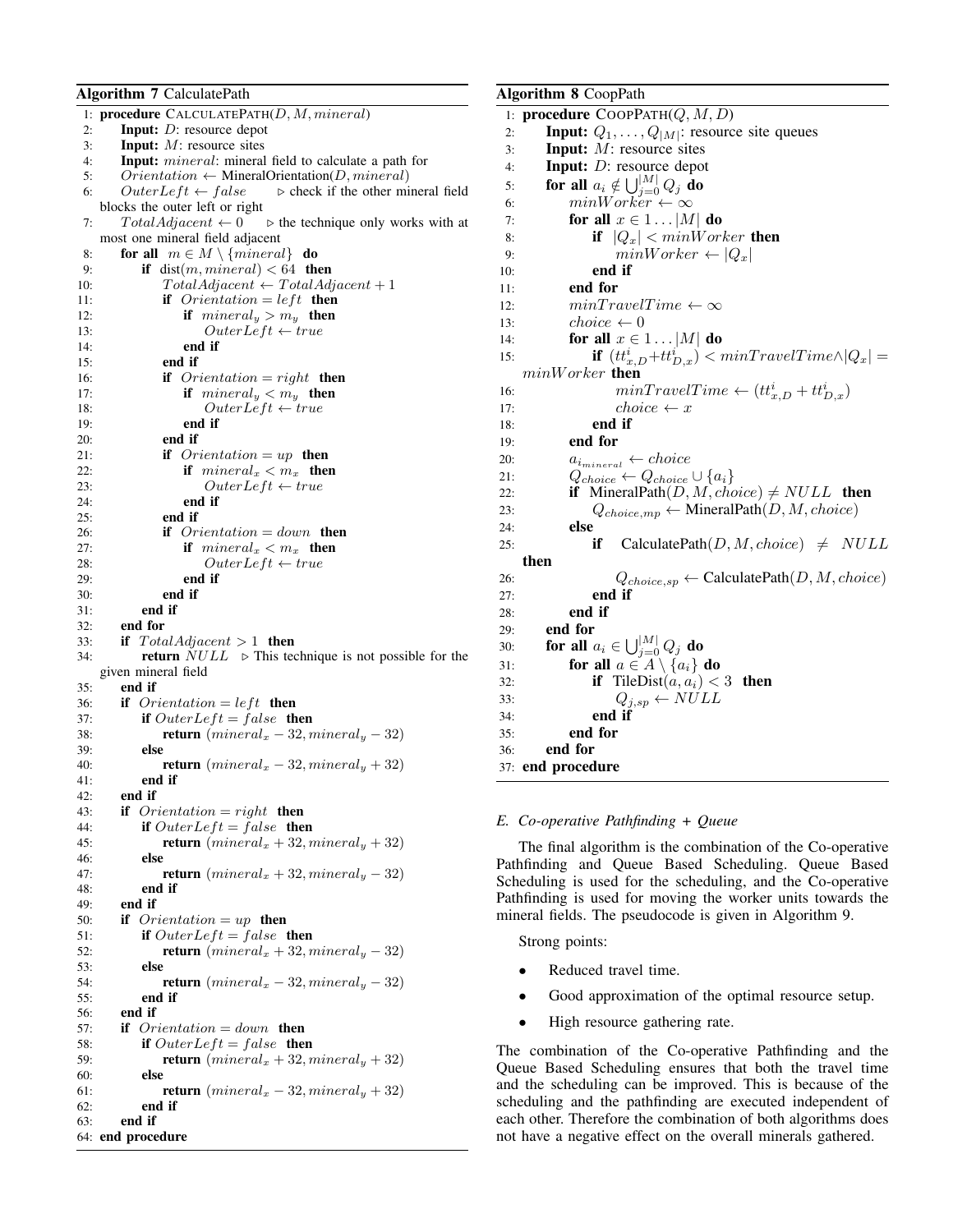Algorithm 7 CalculatePath

1: procedure  $CALCULATEPATH(D, M, mineral)$ 2: **Input:**  $D$ : resource depot 3: **Input:**  $M$ : resource sites 4: **Input:** mineral: mineral field to calculate a path for 5:  $Orientation \leftarrow \text{MineralOrientation}(D, mineral)$ 6: OuterLeft  $\leftarrow$  false  $\rightarrow$  check if the other mineral field blocks the outer left or right<br> $TotalAdjacent \leftarrow 0$ 7:  $Total Adjacent \leftarrow 0$   $\triangleright$  the technique only works with at most one mineral field adjacent 8: for all  $m \in M \setminus \{mineral\}$  do 9: **if** dist $(m, mineral) < 64$  then 10:  $Total Adjacent \leftarrow TotalAdjacent + 1$ 11: **if**  $Orientation = left$  **then** 12: **if**  $mineral_y > m_y$  **then** 13:  $OuterLeft \leftarrow true$  $14:$  end if 15: end if 16: **if**  $Orientation = right$  **then** 17: **if**  $mineral_y < m_y$  **then** 18:  $OuterLeft \leftarrow true$  $19 \cdot$  end if 20: end if 21: **if**  $Orientation = up$  **then** 22: **if**  $mineral_x < m_x$  **then** 23:  $OuterLeft \leftarrow true$ 24: end if 25: end if 26: **if**  $Orientation = down$  **then** 27: **if**  $mineral_x < m_x$  **then** 28:  $OuterLeft \leftarrow true$ 29: end if 30: end if 31: end if 32: end for 33: if  $TotalAdjacent > 1$  then 34: **return**  $NULL \geq$  This technique is not possible for the given mineral field 35: end if 36: if  $Orientation = left$  then 37: if  $OuterLeft = false$  then 38: **return**  $(mineral_x - 32, mineral_y - 32)$ 39: else 40: **return**  $(mineral_x - 32, mineral_y + 32)$ 41: end if 42: end if 43: if  $Orientation = right$  then 44: if  $OuterLeft = false$  then 45: **return**  $(mineral_x + 32, mineral_y + 32)$ 46: else 47: **return**  $(mineral_x + 32, mineral_y - 32)$ 48: end if 49: end if 50: **if**  $Orientation = up$  **then** 51: **if**  $OuterLeft = false$  then 52: **return**  $(mineral_x + 32, mineral_y - 32)$ 53: else 54: **return**  $(mineral_x - 32, mineral_y - 32)$ 55: end if 56: end if 57: if  $Orientation = down$  then 58: **if**  $OuterLeft = false$  then 59: **return**  $(mineral_x + 32, mineral_y + 32)$ <br>60: **else** else 61: **return**  $(mineral_x - 32, mineral_y + 32)$ 62: end if 63: end if

64: end procedure

Algorithm 8 CoopPath 1: **procedure**  $CoOPPATH(Q, M, D)$ 2: **Input:**  $Q_1, \ldots, Q_{|M|}$ : resource site queues 3: Input: M: resource sites 4: Input: D: resource depot 5: **for all**  $a_i \notin \bigcup_{j=0}^{|M|} Q_j$  do 6:  $minW$  or  $ker \leftarrow \infty$ 7: **for all**  $x \in 1 \dots |M|$  **do** 8: **if**  $|Q_x| < minW$  orker **then** 9:  $minWorker \leftarrow |Q_x|$  $10:$  end if 11: end for 12:  $minTravelTime \leftarrow \infty$ 13:  $choice \leftarrow\leftarrow\leftarrow\,0$ 14: for all  $x \in 1 \dots |M|$  do 15: **if**  $(tt_{x,D}^i + tt_{D,x}^i) < minTracelTime \wedge |Q_x| =$  $minWorker$  then 16:  $minTravelTime \leftarrow (tt_{x,D}^i + tt_{D,x}^i)$ 17:  $choice \leftarrow}{\leftarrow} x$ 18: end if 19: end for 20:  $a_{i_{mineral}} \leftarrow choice$ <br>21:  $Q_{obries} \leftarrow Q_{obries}$  $Q_{choice} \leftarrow Q_{choice} \cup \{a_i\}$ 22: **if** MineralPath $(D, M, choice) \neq NULL$  then 23:  $Q_{choice,mp} \leftarrow \text{MineralPath}(D, M, choice)$ 24: else 25: **if** CalculatePath $(D, M, choice) \neq NULL$ then 26:  $Q_{choice,sp} \leftarrow \text{CalculatePath}(D, M, choice)$ 27: end if 28: end if 29: end for 30: **for all**  $a_i \in \bigcup_{j=0}^{|M|} Q_j$  **do** 31: **for all**  $a \in A \setminus \{a_i\}$  do 32: **if** TileDist $(a, a_i) < 3$  then 33:  $Q_{j,sp} \leftarrow NULL$  $34:$  end if 35: end for 36: end for 37: end procedure

#### *E. Co-operative Pathfinding + Queue*

The final algorithm is the combination of the Co-operative Pathfinding and Queue Based Scheduling. Queue Based Scheduling is used for the scheduling, and the Co-operative Pathfinding is used for moving the worker units towards the mineral fields. The pseudocode is given in Algorithm 9.

Strong points:

- Reduced travel time.
- Good approximation of the optimal resource setup.
- High resource gathering rate.

The combination of the Co-operative Pathfinding and the Queue Based Scheduling ensures that both the travel time and the scheduling can be improved. This is because of the scheduling and the pathfinding are executed independent of each other. Therefore the combination of both algorithms does not have a negative effect on the overall minerals gathered.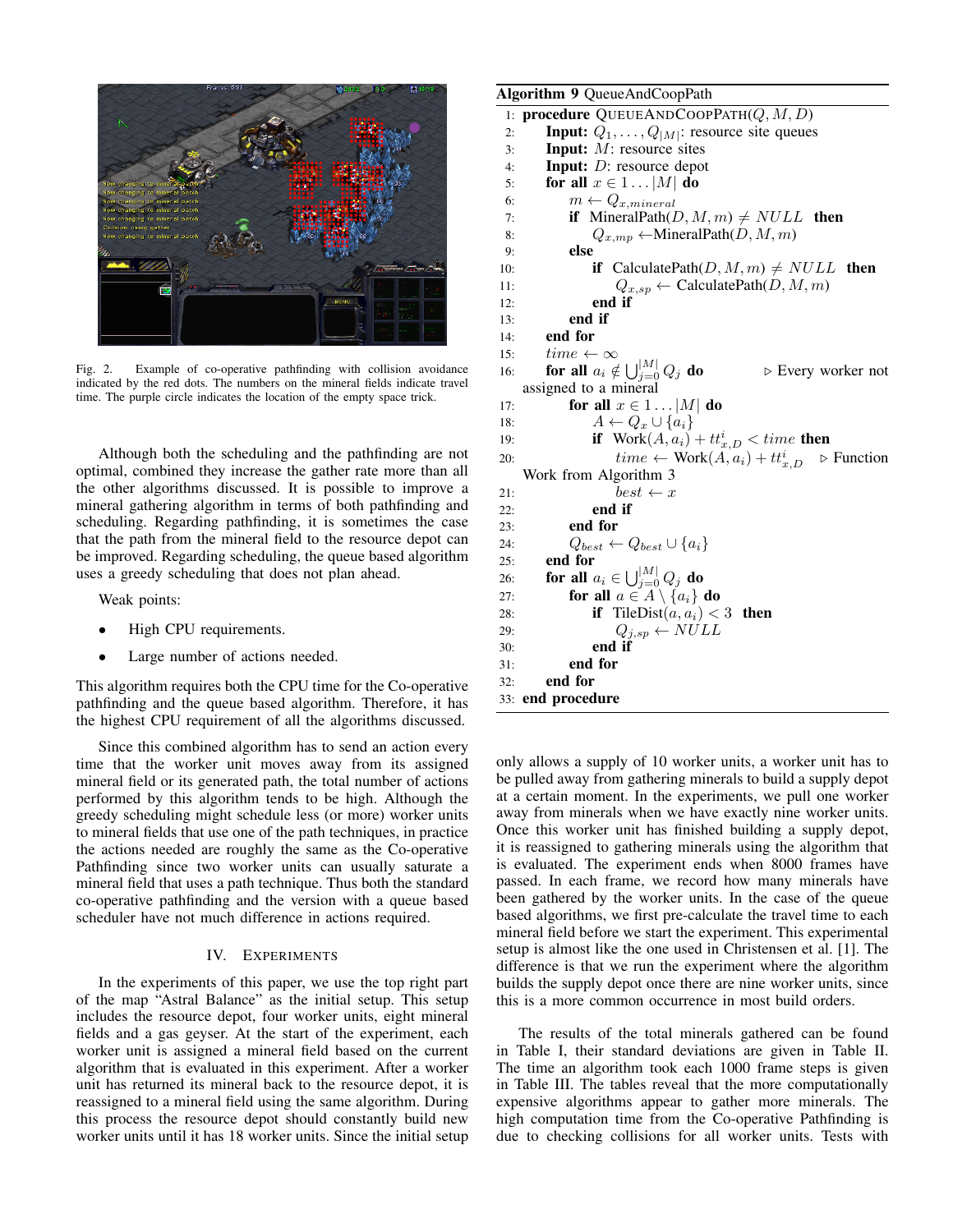

Fig. 2. Example of co-operative pathfinding with collision avoidance indicated by the red dots. The numbers on the mineral fields indicate travel time. The purple circle indicates the location of the empty space trick.

Although both the scheduling and the pathfinding are not optimal, combined they increase the gather rate more than all the other algorithms discussed. It is possible to improve a mineral gathering algorithm in terms of both pathfinding and scheduling. Regarding pathfinding, it is sometimes the case that the path from the mineral field to the resource depot can be improved. Regarding scheduling, the queue based algorithm uses a greedy scheduling that does not plan ahead.

Weak points:

- High CPU requirements.
- Large number of actions needed.

This algorithm requires both the CPU time for the Co-operative pathfinding and the queue based algorithm. Therefore, it has the highest CPU requirement of all the algorithms discussed.

Since this combined algorithm has to send an action every time that the worker unit moves away from its assigned mineral field or its generated path, the total number of actions performed by this algorithm tends to be high. Although the greedy scheduling might schedule less (or more) worker units to mineral fields that use one of the path techniques, in practice the actions needed are roughly the same as the Co-operative Pathfinding since two worker units can usually saturate a mineral field that uses a path technique. Thus both the standard co-operative pathfinding and the version with a queue based scheduler have not much difference in actions required.

## IV. EXPERIMENTS

In the experiments of this paper, we use the top right part of the map "Astral Balance" as the initial setup. This setup includes the resource depot, four worker units, eight mineral fields and a gas geyser. At the start of the experiment, each worker unit is assigned a mineral field based on the current algorithm that is evaluated in this experiment. After a worker unit has returned its mineral back to the resource depot, it is reassigned to a mineral field using the same algorithm. During this process the resource depot should constantly build new worker units until it has 18 worker units. Since the initial setup

| Algorithm 9 QueueAndCoopPath                                                                |
|---------------------------------------------------------------------------------------------|
| 1: <b>procedure</b> QUEUEANDCOOPPATH $(Q, M, D)$                                            |
| <b>Input:</b> $Q_1, \ldots, Q_{ M }$ : resource site queues<br>2:                           |
| <b>Input:</b> $M$ : resource sites<br>3:                                                    |
| <b>Input:</b> $D$ : resource depot<br>4:                                                    |
| for all $x \in 1 \dots  M $ do<br>5:                                                        |
| $m \leftarrow Q_{x, mineral}$<br>6:                                                         |
| if MineralPath $(D, M, m) \neq NULL$ then<br>7:                                             |
| $Q_{x,mp} \leftarrow$ MineralPath $(D, M, m)$<br>8:                                         |
| else<br>9:                                                                                  |
| if CalculatePath $(D, M, m) \neq NULL$ then<br>10:                                          |
| $Q_{x,sp} \leftarrow$ CalculatePath $(D, M, m)$<br>11:                                      |
| end if<br>12:                                                                               |
| end if<br>13:                                                                               |
| end for<br>14:                                                                              |
| $time \leftarrow \infty$<br>15:                                                             |
| for all $a_i \notin \bigcup_{j=0}^{ M } Q_j$ do<br>$\triangleright$ Every worker not<br>16: |
| assigned to a mineral                                                                       |
| for all $x \in 1 \dots  M $ do<br>17:                                                       |
| $A \leftarrow Q_x \cup \{a_i\}$<br>18:                                                      |
| <b>if</b> $Work(A, a_i) + tt_{x,D}^i < time$ then<br>19:                                    |
| $time \leftarrow \text{Work}(A, a_i) + tt_{x,D}^i$<br>$\triangleright$ Function<br>20:      |
| Work from Algorithm 3                                                                       |
| $best \leftarrow x$<br>21:                                                                  |
| end if<br>22:                                                                               |
| end for<br>23:                                                                              |
| $Q_{best} \leftarrow Q_{best} \cup \{a_i\}$<br>24:                                          |
| 25:<br>end for                                                                              |
| for all $a_i \in \bigcup_{j=0}^{ M } Q_j$ do<br>26:                                         |
| for all $a \in A \setminus \{a_i\}$ do<br>27:                                               |
| if TileDist $(a, a_i) < 3$ then<br>28:                                                      |
| $Q_{j,sp} \leftarrow NULL$<br>29:                                                           |
| end if<br>30:                                                                               |
| end for<br>31:                                                                              |
| end for<br>32:                                                                              |
| 33: end procedure                                                                           |

only allows a supply of 10 worker units, a worker unit has to be pulled away from gathering minerals to build a supply depot at a certain moment. In the experiments, we pull one worker away from minerals when we have exactly nine worker units. Once this worker unit has finished building a supply depot, it is reassigned to gathering minerals using the algorithm that is evaluated. The experiment ends when 8000 frames have passed. In each frame, we record how many minerals have been gathered by the worker units. In the case of the queue based algorithms, we first pre-calculate the travel time to each mineral field before we start the experiment. This experimental setup is almost like the one used in Christensen et al. [1]. The difference is that we run the experiment where the algorithm builds the supply depot once there are nine worker units, since this is a more common occurrence in most build orders.

The results of the total minerals gathered can be found in Table I, their standard deviations are given in Table II. The time an algorithm took each 1000 frame steps is given in Table III. The tables reveal that the more computationally expensive algorithms appear to gather more minerals. The high computation time from the Co-operative Pathfinding is due to checking collisions for all worker units. Tests with